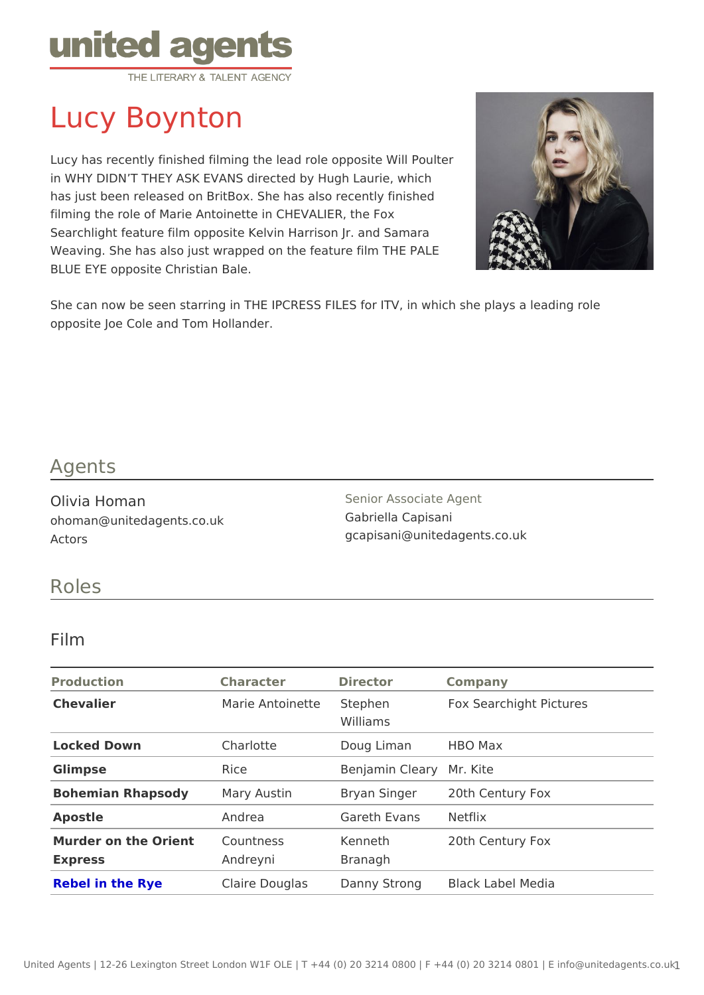# Lucy Boynton

Lucy has recently finished filming the lead role opposite Will Poulter in WHY DIDN T THEY ASK EVANS directed by Hugh Laurie, which has just been released on BritBox. She has also recently finished filming the role of Marie Antoinette in CHEVALIER, the Fox Searchlight feature film opposite Kelvin Harrison Jr. and Samara Weaving. She has also just wrapped on the feature film THE PALE BLUE EYE opposite Christian Bale.

She can now be seen starring in THE IPCRESS FILES for ITV, in which she pl opposite Joe Cole and Tom Hollander.

#### Agents

Olivia Homan ohoman@unitedagents.co.uk Actors

Senior Associate Agent Gabriella Capisani gcapisani@unitedagents.co.uk

### Roles

#### Film

| Production                              | Character Director      |                       | Company                                     |
|-----------------------------------------|-------------------------|-----------------------|---------------------------------------------|
| Chevalier                               | Marie Antoinet Steephen | Williams              | Fox Searchight Pictures                     |
| Locked Down                             | Charlotte               | Doug Liman HBO Max    |                                             |
| Glimpse                                 | Rice                    | Benjamin CleMary Kite |                                             |
| Bohemian Rhapsody Mary Austin           |                         |                       | Bryan Singer20th Century Fox                |
| Apostle                                 | Andrea                  | Gareth EvansNetflix   |                                             |
| Murder on the OrienCountness<br>Express | Andreyni                | Kenneth<br>Branagh    | 20th Century Fox                            |
| Rebel in the Rye                        |                         |                       | Claire DouglasDanny StrongBlack Label Media |